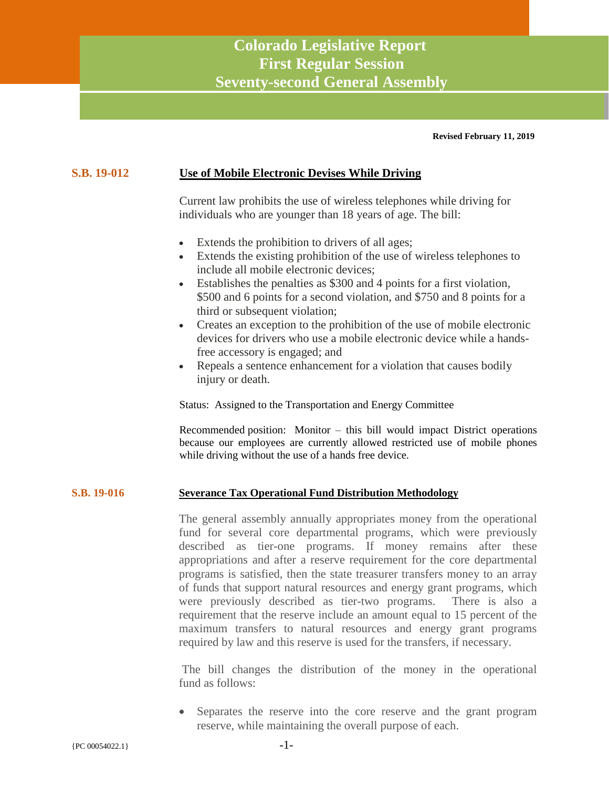# **Colorado Legislative Report First Regular Session Seventy-second General Assembly**

#### **Revised February 11, 2019**

#### **S.B. 19-012 Use of Mobile Electronic Devises While Driving**

Current law prohibits the use of wireless telephones while driving for individuals who are younger than 18 years of age. The bill:

- Extends the prohibition to drivers of all ages;
- Extends the existing prohibition of the use of wireless telephones to include all mobile electronic devices;
- Establishes the penalties as \$300 and 4 points for a first violation, \$500 and 6 points for a second violation, and \$750 and 8 points for a third or subsequent violation;
- Creates an exception to the prohibition of the use of mobile electronic devices for drivers who use a mobile electronic device while a handsfree accessory is engaged; and
- Repeals a sentence enhancement for a violation that causes bodily injury or death.

Status: Assigned to the Transportation and Energy Committee

Recommended position: Monitor – this bill would impact District operations because our employees are currently allowed restricted use of mobile phones while driving without the use of a hands free device.

#### **S.B. 19-016 Severance Tax Operational Fund Distribution Methodology**

The general assembly annually appropriates money from the operational fund for several core departmental programs, which were previously described as tier-one programs. If money remains after these appropriations and after a reserve requirement for the core departmental programs is satisfied, then the state treasurer transfers money to an array of funds that support natural resources and energy grant programs, which were previously described as tier-two programs. There is also a requirement that the reserve include an amount equal to 15 percent of the maximum transfers to natural resources and energy grant programs required by law and this reserve is used for the transfers, if necessary.

The bill changes the distribution of the money in the operational fund as follows:

• Separates the reserve into the core reserve and the grant program reserve, while maintaining the overall purpose of each.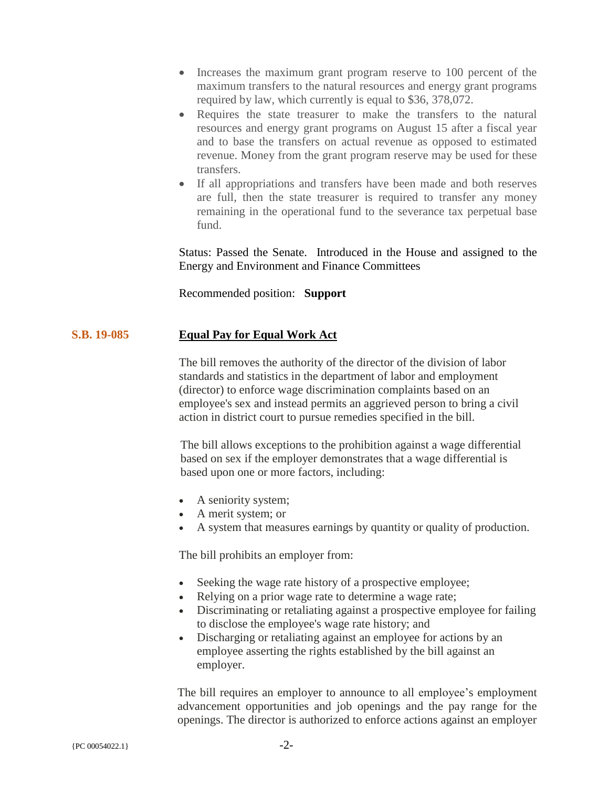- Increases the maximum grant program reserve to 100 percent of the maximum transfers to the natural resources and energy grant programs required by law, which currently is equal to \$36, 378,072.
- Requires the state treasurer to make the transfers to the natural resources and energy grant programs on August 15 after a fiscal year and to base the transfers on actual revenue as opposed to estimated revenue. Money from the grant program reserve may be used for these transfers.
- If all appropriations and transfers have been made and both reserves are full, then the state treasurer is required to transfer any money remaining in the operational fund to the severance tax perpetual base fund.

Status: Passed the Senate. Introduced in the House and assigned to the Energy and Environment and Finance Committees

Recommended position: **Support**

## **S.B. 19-085 Equal Pay for Equal Work Act**

The bill removes the authority of the director of the division of labor standards and statistics in the department of labor and employment (director) to enforce wage discrimination complaints based on an employee's sex and instead permits an aggrieved person to bring a civil action in district court to pursue remedies specified in the bill.

The bill allows exceptions to the prohibition against a wage differential based on sex if the employer demonstrates that a wage differential is based upon one or more factors, including:

- A seniority system;
- A merit system; or
- A system that measures earnings by quantity or quality of production.

The bill prohibits an employer from:

- Seeking the wage rate history of a prospective employee;
- Relying on a prior wage rate to determine a wage rate;
- Discriminating or retaliating against a prospective employee for failing to disclose the employee's wage rate history; and
- Discharging or retaliating against an employee for actions by an employee asserting the rights established by the bill against an employer.

The bill requires an employer to announce to all employee's employment advancement opportunities and job openings and the pay range for the openings. The director is authorized to enforce actions against an employer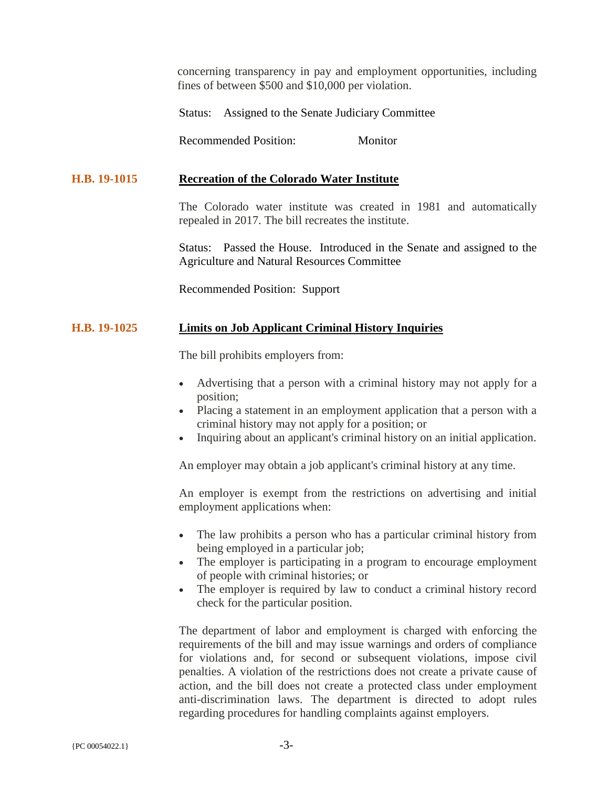concerning transparency in pay and employment opportunities, including fines of between \$500 and \$10,000 per violation.

Status: Assigned to the Senate Judiciary Committee

Recommended Position: Monitor

## **H.B. 19-1015 Recreation of the Colorado Water Institute**

The Colorado water institute was created in 1981 and automatically repealed in 2017. The bill recreates the institute.

Status: Passed the House. Introduced in the Senate and assigned to the Agriculture and Natural Resources Committee

Recommended Position: Support

## **H.B. 19-1025 Limits on Job Applicant Criminal History Inquiries**

The bill prohibits employers from:

- Advertising that a person with a criminal history may not apply for a position;
- Placing a statement in an employment application that a person with a criminal history may not apply for a position; or
- Inquiring about an applicant's criminal history on an initial application.

An employer may obtain a job applicant's criminal history at any time.

An employer is exempt from the restrictions on advertising and initial employment applications when:

- The law prohibits a person who has a particular criminal history from being employed in a particular job;
- The employer is participating in a program to encourage employment of people with criminal histories; or
- The employer is required by law to conduct a criminal history record check for the particular position.

The department of labor and employment is charged with enforcing the requirements of the bill and may issue warnings and orders of compliance for violations and, for second or subsequent violations, impose civil penalties. A violation of the restrictions does not create a private cause of action, and the bill does not create a protected class under employment anti-discrimination laws. The department is directed to adopt rules regarding procedures for handling complaints against employers.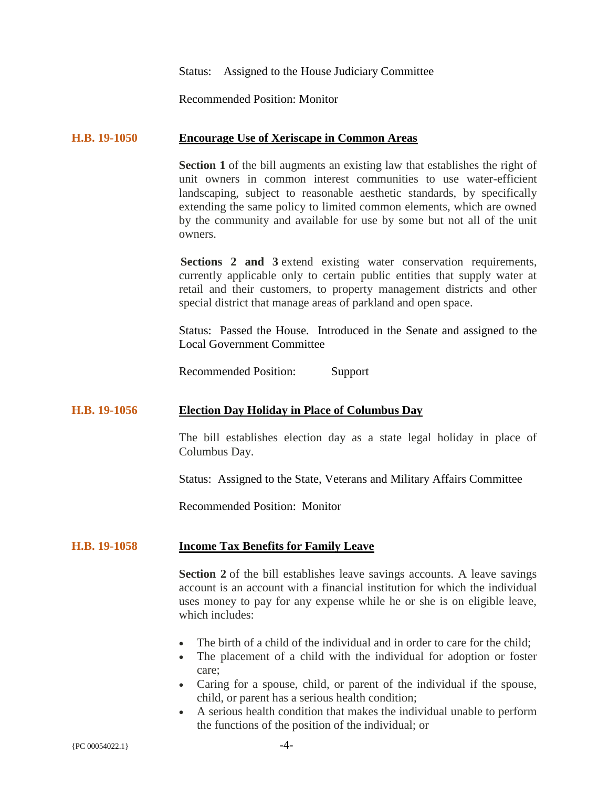Status: Assigned to the House Judiciary Committee

Recommended Position: Monitor

#### **H.B. 19-1050 Encourage Use of Xeriscape in Common Areas**

**Section 1** of the bill augments an existing law that establishes the right of unit owners in common interest communities to use water-efficient landscaping, subject to reasonable aesthetic standards, by specifically extending the same policy to limited common elements, which are owned by the community and available for use by some but not all of the unit owners.

**Sections 2 and 3** extend existing water conservation requirements, currently applicable only to certain public entities that supply water at retail and their customers, to property management districts and other special district that manage areas of parkland and open space.

Status: Passed the House. Introduced in the Senate and assigned to the Local Government Committee

Recommended Position: Support

#### **H.B. 19-1056 Election Day Holiday in Place of Columbus Day**

The bill establishes election day as a state legal holiday in place of Columbus Day.

Status: Assigned to the State, Veterans and Military Affairs Committee

Recommended Position: Monitor

#### **H.B. 19-1058 Income Tax Benefits for Family Leave**

**Section 2** of the bill establishes leave savings accounts. A leave savings account is an account with a financial institution for which the individual uses money to pay for any expense while he or she is on eligible leave, which includes:

- The birth of a child of the individual and in order to care for the child:
- The placement of a child with the individual for adoption or foster care;
- Caring for a spouse, child, or parent of the individual if the spouse, child, or parent has a serious health condition;
- A serious health condition that makes the individual unable to perform the functions of the position of the individual; or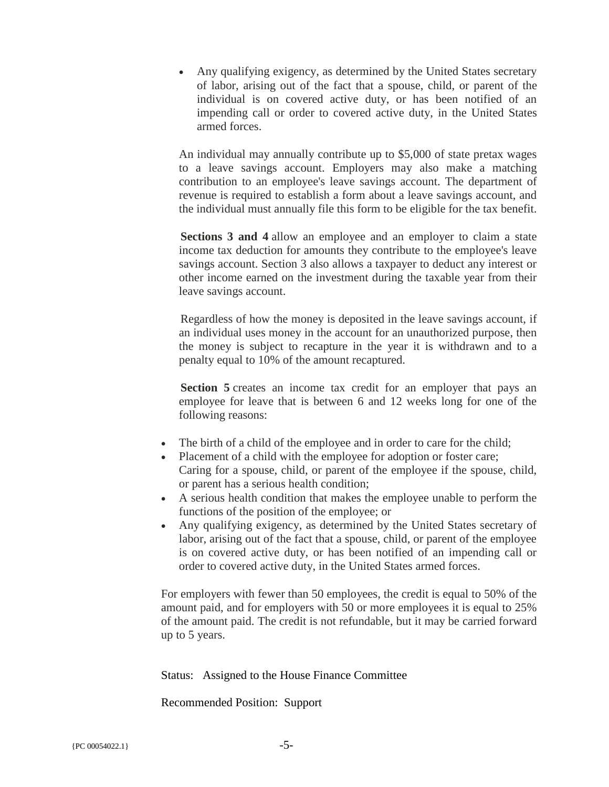• Any qualifying exigency, as determined by the United States secretary of labor, arising out of the fact that a spouse, child, or parent of the individual is on covered active duty, or has been notified of an impending call or order to covered active duty, in the United States armed forces.

An individual may annually contribute up to \$5,000 of state pretax wages to a leave savings account. Employers may also make a matching contribution to an employee's leave savings account. The department of revenue is required to establish a form about a leave savings account, and the individual must annually file this form to be eligible for the tax benefit.

**Sections 3 and 4** allow an employee and an employer to claim a state income tax deduction for amounts they contribute to the employee's leave savings account. Section 3 also allows a taxpayer to deduct any interest or other income earned on the investment during the taxable year from their leave savings account.

Regardless of how the money is deposited in the leave savings account, if an individual uses money in the account for an unauthorized purpose, then the money is subject to recapture in the year it is withdrawn and to a penalty equal to 10% of the amount recaptured.

Section 5 creates an income tax credit for an employer that pays an employee for leave that is between 6 and 12 weeks long for one of the following reasons:

- The birth of a child of the employee and in order to care for the child;
- Placement of a child with the employee for adoption or foster care; Caring for a spouse, child, or parent of the employee if the spouse, child, or parent has a serious health condition;
- A serious health condition that makes the employee unable to perform the functions of the position of the employee; or
- Any qualifying exigency, as determined by the United States secretary of labor, arising out of the fact that a spouse, child, or parent of the employee is on covered active duty, or has been notified of an impending call or order to covered active duty, in the United States armed forces.

For employers with fewer than 50 employees, the credit is equal to 50% of the amount paid, and for employers with 50 or more employees it is equal to 25% of the amount paid. The credit is not refundable, but it may be carried forward up to 5 years.

Status: Assigned to the House Finance Committee

Recommended Position: Support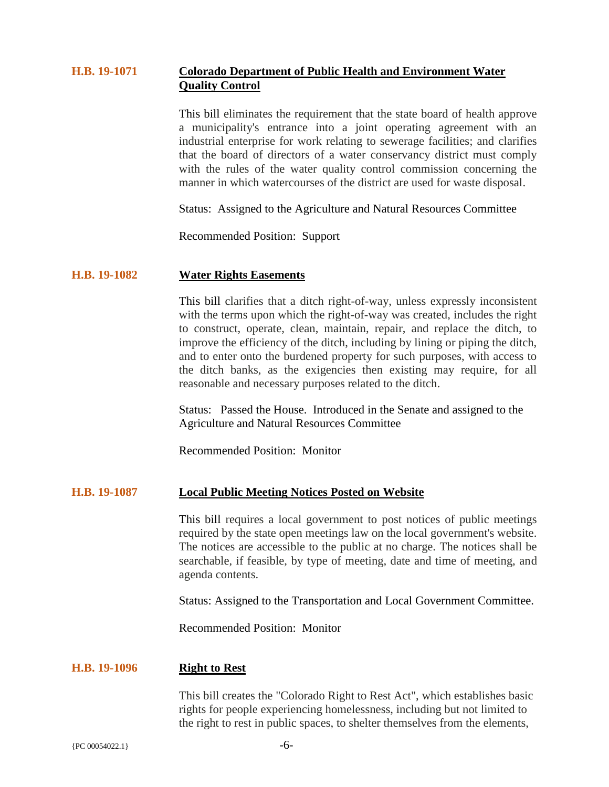## **H.B. 19-1071 Colorado Department of Public Health and Environment Water Quality Control**

This bill eliminates the requirement that the state board of health approve a municipality's entrance into a joint operating agreement with an industrial enterprise for work relating to sewerage facilities; and clarifies that the board of directors of a water conservancy district must comply with the rules of the water quality control commission concerning the manner in which watercourses of the district are used for waste disposal.

Status: Assigned to the Agriculture and Natural Resources Committee

Recommended Position: Support

#### **H.B. 19-1082 Water Rights Easements**

This bill clarifies that a ditch right-of-way, unless expressly inconsistent with the terms upon which the right-of-way was created, includes the right to construct, operate, clean, maintain, repair, and replace the ditch, to improve the efficiency of the ditch, including by lining or piping the ditch, and to enter onto the burdened property for such purposes, with access to the ditch banks, as the exigencies then existing may require, for all reasonable and necessary purposes related to the ditch.

Status: Passed the House. Introduced in the Senate and assigned to the Agriculture and Natural Resources Committee

Recommended Position: Monitor

## **H.B. 19-1087 Local Public Meeting Notices Posted on Website**

This bill requires a local government to post notices of public meetings required by the state open meetings law on the local government's website. The notices are accessible to the public at no charge. The notices shall be searchable, if feasible, by type of meeting, date and time of meeting, and agenda contents.

Status: Assigned to the Transportation and Local Government Committee.

Recommended Position: Monitor

#### **H.B. 19-1096 Right to Rest**

This bill creates the "Colorado Right to Rest Act", which establishes basic rights for people experiencing homelessness, including but not limited to the right to rest in public spaces, to shelter themselves from the elements,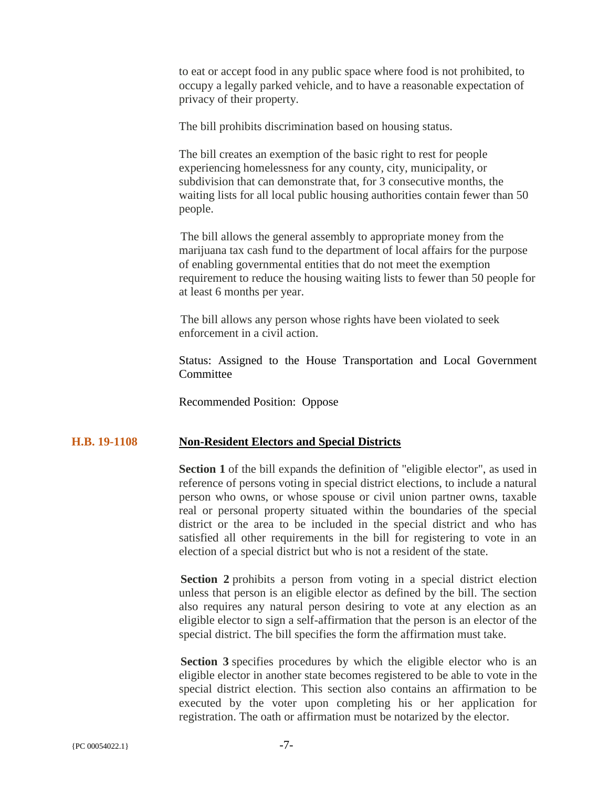to eat or accept food in any public space where food is not prohibited, to occupy a legally parked vehicle, and to have a reasonable expectation of privacy of their property.

The bill prohibits discrimination based on housing status.

The bill creates an exemption of the basic right to rest for people experiencing homelessness for any county, city, municipality, or subdivision that can demonstrate that, for 3 consecutive months, the waiting lists for all local public housing authorities contain fewer than 50 people.

The bill allows the general assembly to appropriate money from the marijuana tax cash fund to the department of local affairs for the purpose of enabling governmental entities that do not meet the exemption requirement to reduce the housing waiting lists to fewer than 50 people for at least 6 months per year.

The bill allows any person whose rights have been violated to seek enforcement in a civil action.

Status: Assigned to the House Transportation and Local Government **Committee** 

Recommended Position: Oppose

#### **H.B. 19-1108 Non-Resident Electors and Special Districts**

**Section 1** of the bill expands the definition of "eligible elector", as used in reference of persons voting in special district elections, to include a natural person who owns, or whose spouse or civil union partner owns, taxable real or personal property situated within the boundaries of the special district or the area to be included in the special district and who has satisfied all other requirements in the bill for registering to vote in an election of a special district but who is not a resident of the state.

**Section 2** prohibits a person from voting in a special district election unless that person is an eligible elector as defined by the bill. The section also requires any natural person desiring to vote at any election as an eligible elector to sign a self-affirmation that the person is an elector of the special district. The bill specifies the form the affirmation must take.

**Section 3** specifies procedures by which the eligible elector who is an eligible elector in another state becomes registered to be able to vote in the special district election. This section also contains an affirmation to be executed by the voter upon completing his or her application for registration. The oath or affirmation must be notarized by the elector.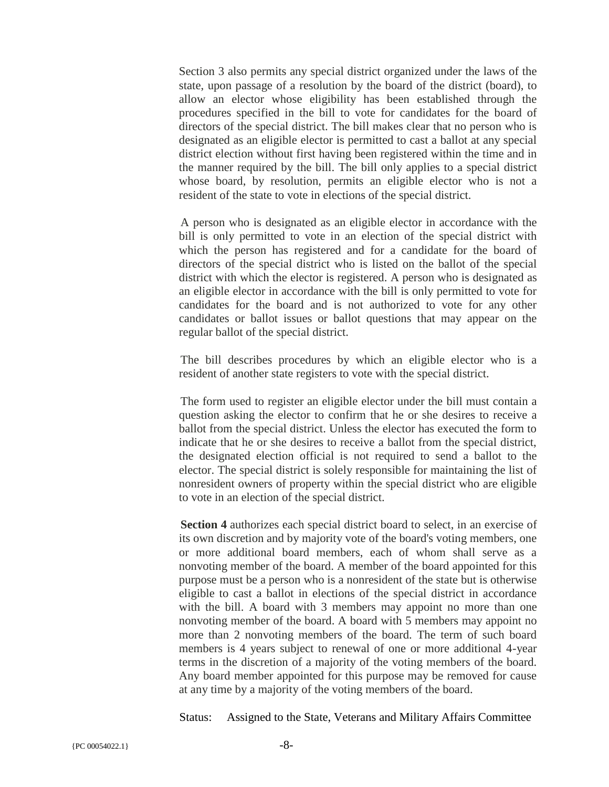Section 3 also permits any special district organized under the laws of the state, upon passage of a resolution by the board of the district (board), to allow an elector whose eligibility has been established through the procedures specified in the bill to vote for candidates for the board of directors of the special district. The bill makes clear that no person who is designated as an eligible elector is permitted to cast a ballot at any special district election without first having been registered within the time and in the manner required by the bill. The bill only applies to a special district whose board, by resolution, permits an eligible elector who is not a resident of the state to vote in elections of the special district.

A person who is designated as an eligible elector in accordance with the bill is only permitted to vote in an election of the special district with which the person has registered and for a candidate for the board of directors of the special district who is listed on the ballot of the special district with which the elector is registered. A person who is designated as an eligible elector in accordance with the bill is only permitted to vote for candidates for the board and is not authorized to vote for any other candidates or ballot issues or ballot questions that may appear on the regular ballot of the special district.

The bill describes procedures by which an eligible elector who is a resident of another state registers to vote with the special district.

The form used to register an eligible elector under the bill must contain a question asking the elector to confirm that he or she desires to receive a ballot from the special district. Unless the elector has executed the form to indicate that he or she desires to receive a ballot from the special district, the designated election official is not required to send a ballot to the elector. The special district is solely responsible for maintaining the list of nonresident owners of property within the special district who are eligible to vote in an election of the special district.

**Section 4** authorizes each special district board to select, in an exercise of its own discretion and by majority vote of the board's voting members, one or more additional board members, each of whom shall serve as a nonvoting member of the board. A member of the board appointed for this purpose must be a person who is a nonresident of the state but is otherwise eligible to cast a ballot in elections of the special district in accordance with the bill. A board with 3 members may appoint no more than one nonvoting member of the board. A board with 5 members may appoint no more than 2 nonvoting members of the board. The term of such board members is 4 years subject to renewal of one or more additional 4-year terms in the discretion of a majority of the voting members of the board. Any board member appointed for this purpose may be removed for cause at any time by a majority of the voting members of the board.

Status: Assigned to the State, Veterans and Military Affairs Committee